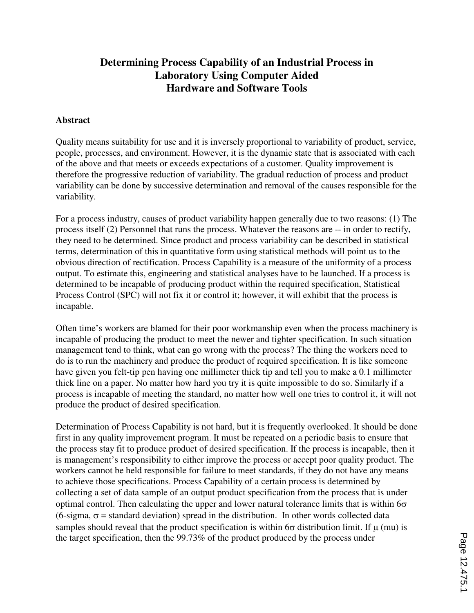# **Determining Process Capability of an Industrial Process in Laboratory Using Computer Aided Hardware and Software Tools**

### **Abstract**

Quality means suitability for use and it is inversely proportional to variability of product, service, people, processes, and environment. However, it is the dynamic state that is associated with each of the above and that meets or exceeds expectations of a customer. Quality improvement is therefore the progressive reduction of variability. The gradual reduction of process and product variability can be done by successive determination and removal of the causes responsible for the variability.

For a process industry, causes of product variability happen generally due to two reasons: (1) The process itself (2) Personnel that runs the process. Whatever the reasons are -- in order to rectify, they need to be determined. Since product and process variability can be described in statistical terms, determination of this in quantitative form using statistical methods will point us to the obvious direction of rectification. Process Capability is a measure of the uniformity of a process output. To estimate this, engineering and statistical analyses have to be launched. If a process is determined to be incapable of producing product within the required specification, Statistical Process Control (SPC) will not fix it or control it; however, it will exhibit that the process is incapable.

Often time's workers are blamed for their poor workmanship even when the process machinery is incapable of producing the product to meet the newer and tighter specification. In such situation management tend to think, what can go wrong with the process? The thing the workers need to do is to run the machinery and produce the product of required specification. It is like someone have given you felt-tip pen having one millimeter thick tip and tell you to make a 0.1 millimeter thick line on a paper. No matter how hard you try it is quite impossible to do so. Similarly if a process is incapable of meeting the standard, no matter how well one tries to control it, it will not produce the product of desired specification.

Determination of Process Capability is not hard, but it is frequently overlooked. It should be done first in any quality improvement program. It must be repeated on a periodic basis to ensure that the process stay fit to produce product of desired specification. If the process is incapable, then it is management's responsibility to either improve the process or accept poor quality product. The workers cannot be held responsible for failure to meet standards, if they do not have any means to achieve those specifications. Process Capability of a certain process is determined by collecting a set of data sample of an output product specification from the process that is under optimal control. Then calculating the upper and lower natural tolerance limits that is within  $6\sigma$ (6-sigma,  $\sigma$  = standard deviation) spread in the distribution. In other words collected data samples should reveal that the product specification is within 6 $\sigma$  distribution limit. If  $\mu$  (mu) is the target specification, then the 99.73% of the product produced by the process under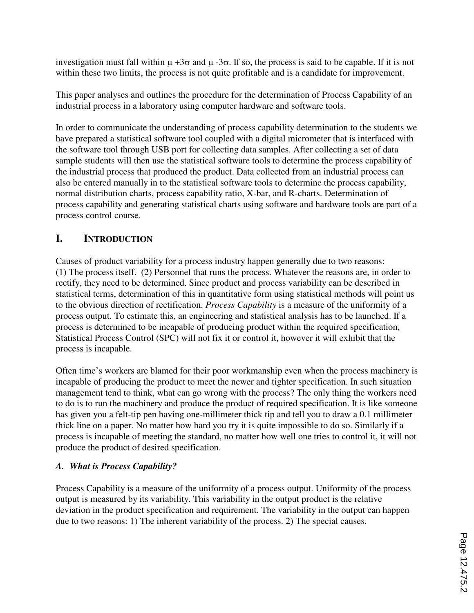investigation must fall within  $\mu + 3\sigma$  and  $\mu - 3\sigma$ . If so, the process is said to be capable. If it is not within these two limits, the process is not quite profitable and is a candidate for improvement.

This paper analyses and outlines the procedure for the determination of Process Capability of an industrial process in a laboratory using computer hardware and software tools.

In order to communicate the understanding of process capability determination to the students we have prepared a statistical software tool coupled with a digital micrometer that is interfaced with the software tool through USB port for collecting data samples. After collecting a set of data sample students will then use the statistical software tools to determine the process capability of the industrial process that produced the product. Data collected from an industrial process can also be entered manually in to the statistical software tools to determine the process capability, normal distribution charts, process capability ratio, X-bar, and R-charts. Determination of process capability and generating statistical charts using software and hardware tools are part of a process control course.

# **I. INTRODUCTION**

Causes of product variability for a process industry happen generally due to two reasons: (1) The process itself. (2) Personnel that runs the process. Whatever the reasons are, in order to rectify, they need to be determined. Since product and process variability can be described in statistical terms, determination of this in quantitative form using statistical methods will point us to the obvious direction of rectification. *Process Capability* is a measure of the uniformity of a process output. To estimate this, an engineering and statistical analysis has to be launched. If a process is determined to be incapable of producing product within the required specification, Statistical Process Control (SPC) will not fix it or control it, however it will exhibit that the process is incapable.

Often time's workers are blamed for their poor workmanship even when the process machinery is incapable of producing the product to meet the newer and tighter specification. In such situation management tend to think, what can go wrong with the process? The only thing the workers need to do is to run the machinery and produce the product of required specification. It is like someone has given you a felt-tip pen having one-millimeter thick tip and tell you to draw a 0.1 millimeter thick line on a paper. No matter how hard you try it is quite impossible to do so. Similarly if a process is incapable of meeting the standard, no matter how well one tries to control it, it will not produce the product of desired specification.

# *A. What is Process Capability?*

Process Capability is a measure of the uniformity of a process output. Uniformity of the process output is measured by its variability. This variability in the output product is the relative deviation in the product specification and requirement. The variability in the output can happen due to two reasons: 1) The inherent variability of the process. 2) The special causes.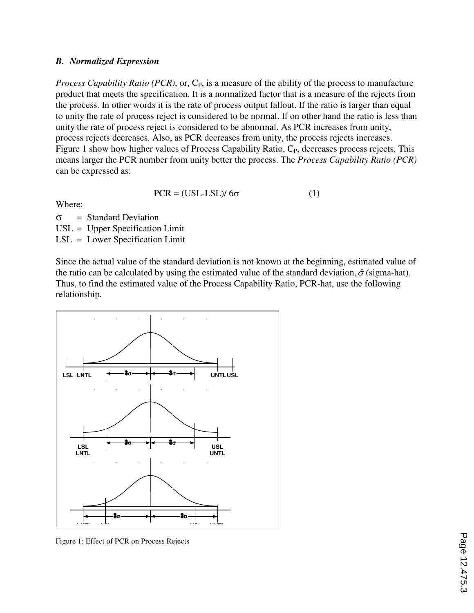### *B. Normalized Expression*

*Process Capability Ratio (PCR)*, or, C<sub>P</sub>, is a measure of the ability of the process to manufacture product that meets the specification. It is a normalized factor that is a measure of the rejects from the process. In other words it is the rate of process output fallout. If the ratio is larger than equal to unity the rate of process reject is considered to be normal. If on other hand the ratio is less than unity the rate of process reject is considered to be abnormal. As PCR increases from unity, process rejects decreases. Also, as PCR decreases from unity, the process rejects increases. Figure 1 show how higher values of Process Capability Ratio,  $C_{P}$ , decreases process rejects. This means larger the PCR number from unity better the process. The *Process Capability Ratio (PCR)* can be expressed as:

$$
PCR = (USL-LSL)/6\sigma \tag{1}
$$

Where:

 $\sigma$  = Standard Deviation USL = Upper Specification Limit

LSL = Lower Specification Limit

Since the actual value of the standard deviation is not known at the beginning, estimated value of the ratio can be calculated by using the estimated value of the standard deviation,  $\hat{\sigma}$  (sigma-hat). Thus, to find the estimated value of the Process Capability Ratio, PCR-hat, use the following relationship.



Figure 1: Effect of PCR on Process Rejects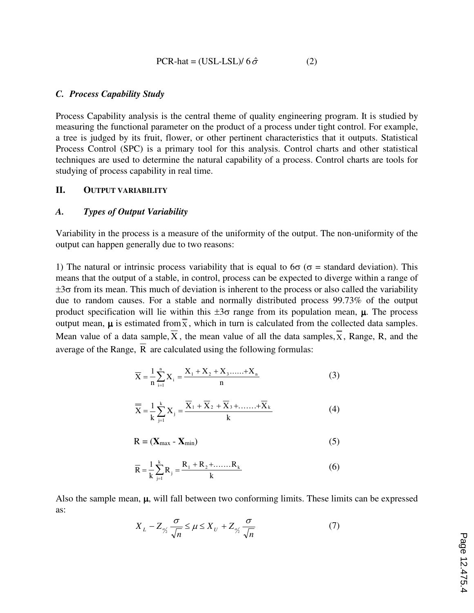$$
PCR-hat = (USL-LSL)/6\hat{\sigma}
$$
 (2)

### *C. Process Capability Study*

Process Capability analysis is the central theme of quality engineering program. It is studied by measuring the functional parameter on the product of a process under tight control. For example, a tree is judged by its fruit, flower, or other pertinent characteristics that it outputs. Statistical Process Control (SPC) is a primary tool for this analysis. Control charts and other statistical techniques are used to determine the natural capability of a process. Control charts are tools for studying of process capability in real time.

#### **II. OUTPUT VARIABILITY**

## *A. Types of Output Variability*

Variability in the process is a measure of the uniformity of the output. The non-uniformity of the output can happen generally due to two reasons:

1) The natural or intrinsic process variability that is equal to  $6\sigma$  ( $\sigma$  = standard deviation). This means that the output of a stable, in control, process can be expected to diverge within a range of  $\pm 3\sigma$  from its mean. This much of deviation is inherent to the process or also called the variability due to random causes. For a stable and normally distributed process 99.73% of the output product specification will lie within this  $\pm 3\sigma$  range from its population mean,  $\mu$ . The process output mean,  $\mu$  is estimated from  $\overline{\overline{x}}$ , which in turn is calculated from the collected data samples. Mean value of a data sample,  $\overline{X}$ , the mean value of all the data samples,  $\overline{X}$ , Range, R, and the average of the Range,  $\overline{R}$  are calculated using the following formulas:

$$
\overline{X} = \frac{1}{n} \sum_{i=1}^{n} X_i = \frac{X_1 + X_2 + X_3 + \dots + X_n}{n}
$$
 (3)

$$
\overline{X} = \frac{1}{k} \sum_{j=1}^{k} X_j = \frac{\overline{X}_1 + \overline{X}_2 + \overline{X}_3 + \dots + \overline{X}_k}{k}
$$
(4)

$$
R = (\mathbf{X}_{\text{max}} - \mathbf{X}_{\text{min}}) \tag{5}
$$

$$
\overline{R} = \frac{1}{k} \sum_{j=1}^{k} R_j = \frac{R_1 + R_2 + \dots + R_k}{k}
$$
 (6)

Also the sample mean,  $\mu$ , will fall between two conforming limits. These limits can be expressed as:

$$
X_L - Z_{\frac{\alpha}{2}} \frac{\sigma}{\sqrt{n}} \le \mu \le X_U + Z_{\frac{\alpha}{2}} \frac{\sigma}{\sqrt{n}}
$$
 (7)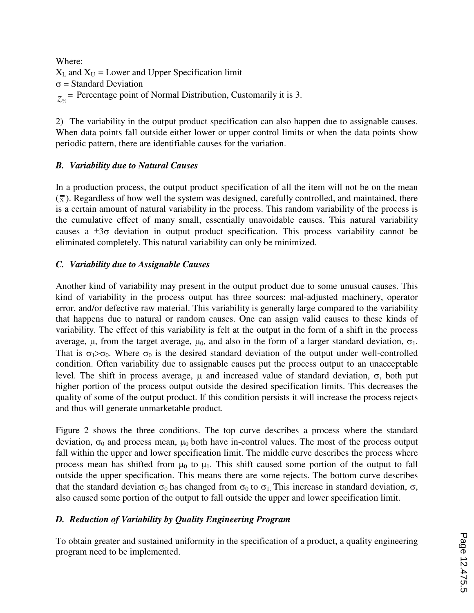Where:  $X_L$  and  $X_U$  = Lower and Upper Specification limit  $\sigma$  = Standard Deviation  $z_{\gamma_2}$  Percentage point of Normal Distribution, Customarily it is 3.

2) The variability in the output product specification can also happen due to assignable causes. When data points fall outside either lower or upper control limits or when the data points show periodic pattern, there are identifiable causes for the variation.

# *B. Variability due to Natural Causes*

In a production process, the output product specification of all the item will not be on the mean  $(\bar{x})$ . Regardless of how well the system was designed, carefully controlled, and maintained, there is a certain amount of natural variability in the process. This random variability of the process is the cumulative effect of many small, essentially unavoidable causes. This natural variability causes a  $\pm 3\sigma$  deviation in output product specification. This process variability cannot be eliminated completely. This natural variability can only be minimized.

# *C. Variability due to Assignable Causes*

Another kind of variability may present in the output product due to some unusual causes. This kind of variability in the process output has three sources: mal-adjusted machinery, operator error, and/or defective raw material. This variability is generally large compared to the variability that happens due to natural or random causes. One can assign valid causes to these kinds of variability. The effect of this variability is felt at the output in the form of a shift in the process average, μ, from the target average,  $μ_0$ , and also in the form of a larger standard deviation,  $σ_1$ . That is  $\sigma_1 > \sigma_0$ . Where  $\sigma_0$  is the desired standard deviation of the output under well-controlled condition. Often variability due to assignable causes put the process output to an unacceptable level. The shift in process average, μ and increased value of standard deviation, σ, both put higher portion of the process output outside the desired specification limits. This decreases the quality of some of the output product. If this condition persists it will increase the process rejects and thus will generate unmarketable product.

Figure 2 shows the three conditions. The top curve describes a process where the standard deviation,  $\sigma_0$  and process mean,  $\mu_0$  both have in-control values. The most of the process output fall within the upper and lower specification limit. The middle curve describes the process where process mean has shifted from  $\mu_0$  to  $\mu_1$ . This shift caused some portion of the output to fall outside the upper specification. This means there are some rejects. The bottom curve describes that the standard deviation  $\sigma_0$  has changed from  $\sigma_0$  to  $\sigma_1$ . This increase in standard deviation,  $\sigma$ , also caused some portion of the output to fall outside the upper and lower specification limit.

# *D. Reduction of Variability by Quality Engineering Program*

To obtain greater and sustained uniformity in the specification of a product, a quality engineering program need to be implemented.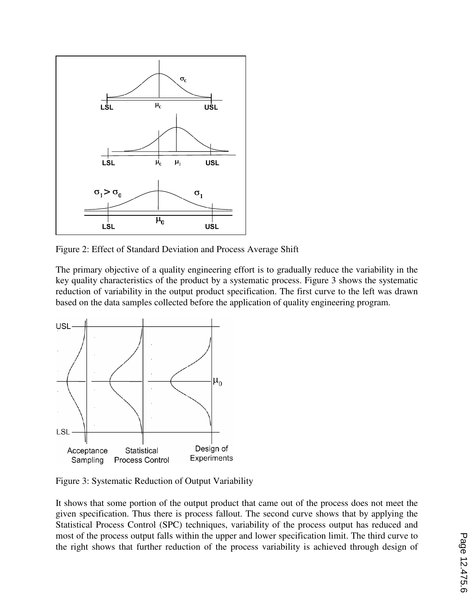

Figure 2: Effect of Standard Deviation and Process Average Shift

The primary objective of a quality engineering effort is to gradually reduce the variability in the key quality characteristics of the product by a systematic process. Figure 3 shows the systematic reduction of variability in the output product specification. The first curve to the left was drawn based on the data samples collected before the application of quality engineering program.



Figure 3: Systematic Reduction of Output Variability

It shows that some portion of the output product that came out of the process does not meet the given specification. Thus there is process fallout. The second curve shows that by applying the Statistical Process Control (SPC) techniques, variability of the process output has reduced and most of the process output falls within the upper and lower specification limit. The third curve to the right shows that further reduction of the process variability is achieved through design of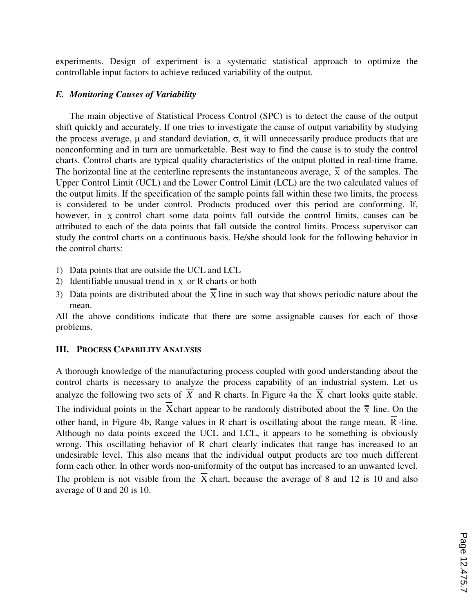experiments. Design of experiment is a systematic statistical approach to optimize the controllable input factors to achieve reduced variability of the output.

### *E. Monitoring Causes of Variability*

The main objective of Statistical Process Control (SPC) is to detect the cause of the output shift quickly and accurately. If one tries to investigate the cause of output variability by studying the process average,  $\mu$  and standard deviation,  $\sigma$ , it will unnecessarily produce products that are nonconforming and in turn are unmarketable. Best way to find the cause is to study the control charts. Control charts are typical quality characteristics of the output plotted in real-time frame. The horizontal line at the centerline represents the instantaneous average,  $\frac{1}{\overline{x}}$  of the samples. The Upper Control Limit (UCL) and the Lower Control Limit (LCL) are the two calculated values of the output limits. If the specification of the sample points fall within these two limits, the process is considered to be under control. Products produced over this period are conforming. If, however, in  $\bar{x}$  control chart some data points fall outside the control limits, causes can be attributed to each of the data points that fall outside the control limits. Process supervisor can study the control charts on a continuous basis. He/she should look for the following behavior in the control charts:

- 1) Data points that are outside the UCL and LCL
- 2) Identifiable unusual trend in  $\overline{X}$  or R charts or both
- 3) Data points are distributed about the  $\overline{\overline{X}}$  line in such way that shows periodic nature about the mean.

All the above conditions indicate that there are some assignable causes for each of those problems.

#### **III. PROCESS CAPABILITY ANALYSIS**

A thorough knowledge of the manufacturing process coupled with good understanding about the control charts is necessary to analyze the process capability of an industrial system. Let us analyze the following two sets of  $\overline{X}$  and R charts. In Figure 4a the  $\overline{X}$  chart looks quite stable. The individual points in the X-chart appear to be randomly distributed about the  $\frac{1}{x}$  line. On the other hand, in Figure 4b, Range values in R chart is oscillating about the range mean,  $\overline{R}$ -line. Although no data points exceed the UCL and LCL, it appears to be something is obviously wrong. This oscillating behavior of R chart clearly indicates that range has increased to an undesirable level. This also means that the individual output products are too much different form each other. In other words non-uniformity of the output has increased to an unwanted level. The problem is not visible from the  $\overline{X}$  chart, because the average of 8 and 12 is 10 and also average of 0 and 20 is 10.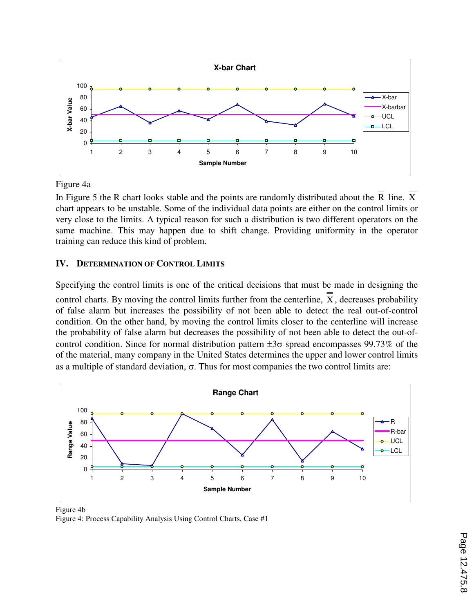

Figure 4a

In Figure 5 the R chart looks stable and the points are randomly distributed about the R line. X chart appears to be unstable. Some of the individual data points are either on the control limits or very close to the limits. A typical reason for such a distribution is two different operators on the same machine. This may happen due to shift change. Providing uniformity in the operator training can reduce this kind of problem.

# **IV. DETERMINATION OF CONTROL LIMITS**

Specifying the control limits is one of the critical decisions that must be made in designing the control charts. By moving the control limits further from the centerline, X , decreases probability of false alarm but increases the possibility of not been able to detect the real out-of-control condition. On the other hand, by moving the control limits closer to the centerline will increase the probability of false alarm but decreases the possibility of not been able to detect the out-ofcontrol condition. Since for normal distribution pattern  $\pm 3\sigma$  spread encompasses 99.73% of the of the material, many company in the United States determines the upper and lower control limits as a multiple of standard deviation,  $\sigma$ . Thus for most companies the two control limits are:



Figure 4b Figure 4: Process Capability Analysis Using Control Charts, Case #1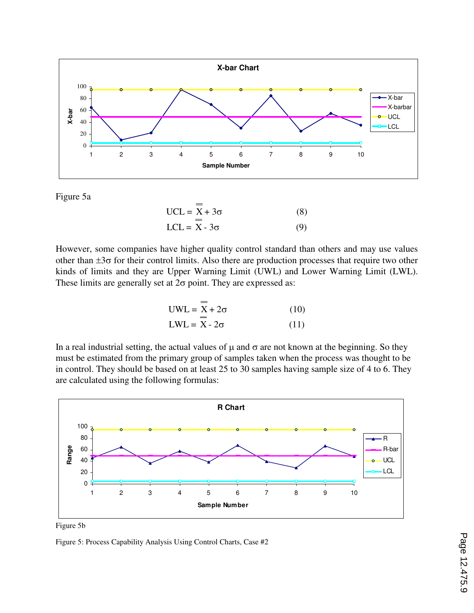

Figure 5a

$$
UCL = \overline{X} + 3\sigma
$$
 (8)  
LCL =  $\overline{X} - 3\sigma$  (9)

However, some companies have higher quality control standard than others and may use values other than  $\pm 3\sigma$  for their control limits. Also there are production processes that require two other kinds of limits and they are Upper Warning Limit (UWL) and Lower Warning Limit (LWL). These limits are generally set at  $2\sigma$  point. They are expressed as:

$$
UWL = \overline{X} + 2\sigma \qquad (10)
$$
  
\n
$$
LWL = \overline{X} - 2\sigma \qquad (11)
$$

In a real industrial setting, the actual values of  $\mu$  and  $\sigma$  are not known at the beginning. So they must be estimated from the primary group of samples taken when the process was thought to be in control. They should be based on at least 25 to 30 samples having sample size of 4 to 6. They are calculated using the following formulas:



Figure 5b

Figure 5: Process Capability Analysis Using Control Charts, Case #2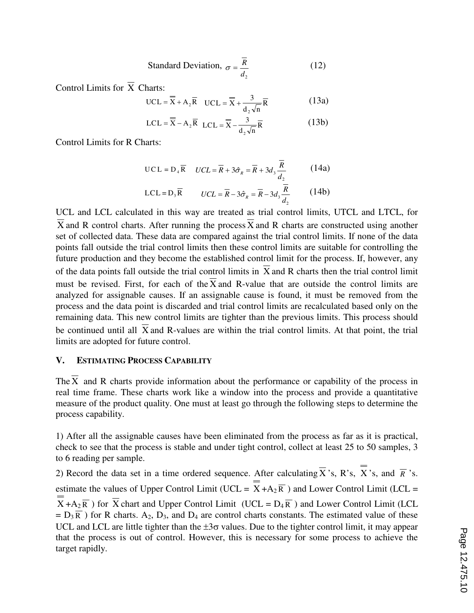Standard Deviation, 
$$
\sigma = \frac{\overline{R}}{d_2}
$$
 (12)

Control Limits for  $\overline{X}$  Charts:

UCL = 
$$
\overline{X}
$$
 + A<sub>2</sub> $\overline{R}$  UCL =  $\overline{X}$  +  $\frac{3}{d_2\sqrt{n}}\overline{R}$  (13a)

$$
LCL = \overline{X} - A_2 \overline{R} \quad LCL = \overline{X} - \frac{3}{d_2 \sqrt{n}} \overline{R}
$$
 (13b)

Control Limits for R Charts:

$$
\text{UCL} = \mathbf{D}_4 \overline{\mathbf{R}} \quad \text{UCL} = \overline{\mathbf{R}} + 3\hat{\sigma}_R = \overline{\mathbf{R}} + 3d_3 \frac{\overline{\mathbf{R}}}{d_2} \tag{14a}
$$

$$
LCL = D_3 \overline{R} \qquad UCL = \overline{R} - 3\hat{\sigma}_R = \overline{R} - 3d_3 \frac{\overline{R}}{d_2}
$$
 (14b)

UCL and LCL calculated in this way are treated as trial control limits, UTCL and LTCL, for X and R control charts. After running the process X and R charts are constructed using another set of collected data. These data are compared against the trial control limits. If none of the data points fall outside the trial control limits then these control limits are suitable for controlling the future production and they become the established control limit for the process. If, however, any of the data points fall outside the trial control limits in  $\overline{X}$  and R charts then the trial control limit must be revised. First, for each of the  $\overline{X}$  and R-value that are outside the control limits are analyzed for assignable causes. If an assignable cause is found, it must be removed from the process and the data point is discarded and trial control limits are recalculated based only on the remaining data. This new control limits are tighter than the previous limits. This process should be continued until all  $\overline{X}$  and R-values are within the trial control limits. At that point, the trial limits are adopted for future control.

### **V. ESTIMATING PROCESS CAPABILITY**

The  $\overline{X}$  and R charts provide information about the performance or capability of the process in real time frame. These charts work like a window into the process and provide a quantitative measure of the product quality. One must at least go through the following steps to determine the process capability.

1) After all the assignable causes have been eliminated from the process as far as it is practical, check to see that the process is stable and under tight control, collect at least 25 to 50 samples, 3 to 6 reading per sample.

2) Record the data set in a time ordered sequence. After calculating  $\overline{X}$  's, R's, X's, and  $\overline{R}$  's. estimate the values of Upper Control Limit (UCL =  $\overline{X} + A_2 \overline{R}$ ) and Lower Control Limit (LCL =  $\overline{X} + A_2 \overline{R}$ ) for  $\overline{X}$  chart and Upper Control Limit (UCL = D<sub>4</sub> $\overline{R}$ ) and Lower Control Limit (LCL  $= D_3 \overline{R}$ ) for R charts. A<sub>2</sub>, D<sub>3</sub>, and D<sub>4</sub> are control charts constants. The estimated value of these UCL and LCL are little tighter than the  $\pm 3\sigma$  values. Due to the tighter control limit, it may appear that the process is out of control. However, this is necessary for some process to achieve the target rapidly.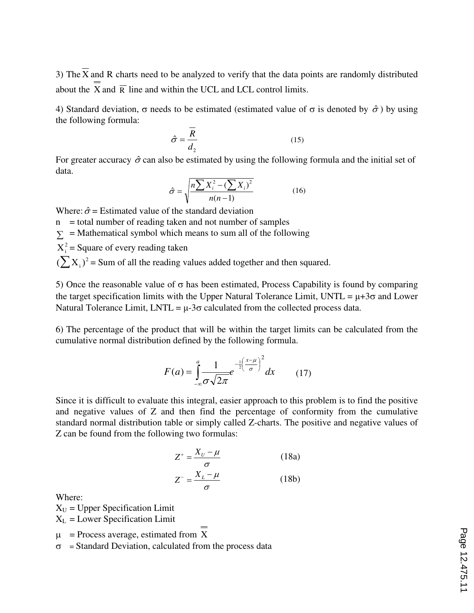3) The  $\overline{X}$  and R charts need to be analyzed to verify that the data points are randomly distributed about the  $\overline{X}$  and  $\overline{R}$  line and within the UCL and LCL control limits.

4) Standard deviation,  $\sigma$  needs to be estimated (estimated value of  $\sigma$  is denoted by  $\hat{\sigma}$ ) by using the following formula:

$$
\hat{\sigma} = \frac{\overline{R}}{d_2} \tag{15}
$$

For greater accuracy  $\hat{\sigma}$  can also be estimated by using the following formula and the initial set of data.

$$
\hat{\sigma} = \sqrt{\frac{n \sum X_i^2 - (\sum X_i)^2}{n(n-1)}}\tag{16}
$$

Where:  $\hat{\sigma}$  = Estimated value of the standard deviation

 $n =$  total number of reading taken and not number of samples  $\Sigma$  = Mathematical symbol which means to sum all of the following  $X_i^2$  = Square of every reading taken

 $(\sum X_i)^2$  = Sum of all the reading values added together and then squared.

5) Once the reasonable value of  $σ$  has been estimated, Process Capability is found by comparing the target specification limits with the Upper Natural Tolerance Limit, UNTL =  $\mu$ +3 $\sigma$  and Lower Natural Tolerance Limit,  $LNTL = \mu - 3\sigma$  calculated from the collected process data.

6) The percentage of the product that will be within the target limits can be calculated from the cumulative normal distribution defined by the following formula.

$$
F(a) = \int_{-\infty}^{a} \frac{1}{\sigma \sqrt{2\pi}} e^{-\frac{1}{2} \left(\frac{x-\mu}{\sigma}\right)^2} dx \qquad (17)
$$

Since it is difficult to evaluate this integral, easier approach to this problem is to find the positive and negative values of Z and then find the percentage of conformity from the cumulative standard normal distribution table or simply called Z-charts. The positive and negative values of Z can be found from the following two formulas:

$$
Z^+ = \frac{X_U - \mu}{\sigma} \tag{18a}
$$

$$
Z^{-} = \frac{X_L - \mu}{\sigma} \tag{18b}
$$

Where:

 $X_U$  = Upper Specification Limit

 $X_L$  = Lower Specification Limit

 $\mu$  = Process average, estimated from X

 $\sigma$  = Standard Deviation, calculated from the process data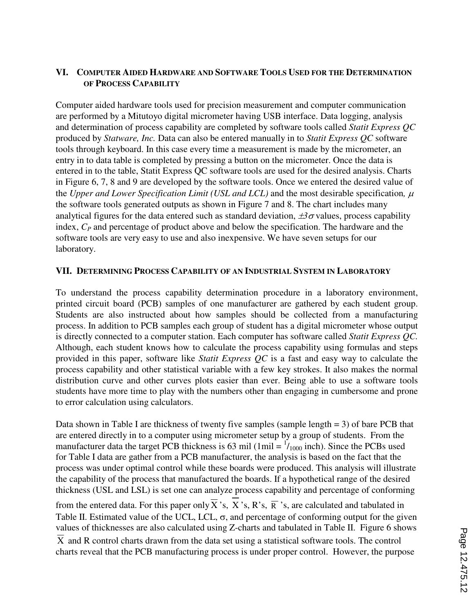# **VI. COMPUTER AIDED HARDWARE AND SOFTWARE TOOLS USED FOR THE DETERMINATION OF PROCESS CAPABILITY**

Computer aided hardware tools used for precision measurement and computer communication are performed by a Mitutoyo digital micrometer having USB interface. Data logging, analysis and determination of process capability are completed by software tools called *Statit Express QC*  produced by *Statware, Inc.* Data can also be entered manually in to *Statit Express QC* software tools through keyboard. In this case every time a measurement is made by the micrometer, an entry in to data table is completed by pressing a button on the micrometer. Once the data is entered in to the table, Statit Express QC software tools are used for the desired analysis. Charts in Figure 6, 7, 8 and 9 are developed by the software tools. Once we entered the desired value of the *Upper and Lower Specification Limit (USL and LCL)* and the most desirable specification,  $\mu$ the software tools generated outputs as shown in Figure 7 and 8. The chart includes many analytical figures for the data entered such as standard deviation,  $\pm 3\sigma$  values, process capability index, *CP* and percentage of product above and below the specification. The hardware and the software tools are very easy to use and also inexpensive. We have seven setups for our laboratory.

## **VII. DETERMINING PROCESS CAPABILITY OF AN INDUSTRIAL SYSTEM IN LABORATORY**

To understand the process capability determination procedure in a laboratory environment, printed circuit board (PCB) samples of one manufacturer are gathered by each student group. Students are also instructed about how samples should be collected from a manufacturing process. In addition to PCB samples each group of student has a digital micrometer whose output is directly connected to a computer station. Each computer has software called *Statit Express QC.*  Although, each student knows how to calculate the process capability using formulas and steps provided in this paper, software like *Statit Express QC* is a fast and easy way to calculate the process capability and other statistical variable with a few key strokes. It also makes the normal distribution curve and other curves plots easier than ever. Being able to use a software tools students have more time to play with the numbers other than engaging in cumbersome and prone to error calculation using calculators.

Data shown in Table I are thickness of twenty five samples (sample length  $= 3$ ) of bare PCB that are entered directly in to a computer using micrometer setup by a group of students. From the manufacturer data the target PCB thickness is 63 mil (1mil  $= \frac{1}{1000}$  inch). Since the PCBs used for Table I data are gather from a PCB manufacturer, the analysis is based on the fact that the process was under optimal control while these boards were produced. This analysis will illustrate the capability of the process that manufactured the boards. If a hypothetical range of the desired thickness (USL and LSL) is set one can analyze process capability and percentage of conforming from the entered data. For this paper only  $\overline{X}$  's, X 's, R's,  $\overline{R}$  's, are calculated and tabulated in Table II. Estimated value of the UCL, LCL,  $\sigma$ , and percentage of conforming output for the given values of thicknesses are also calculated using Z-charts and tabulated in Table II. Figure 6 shows X and R control charts drawn from the data set using a statistical software tools. The control charts reveal that the PCB manufacturing process is under proper control. However, the purpose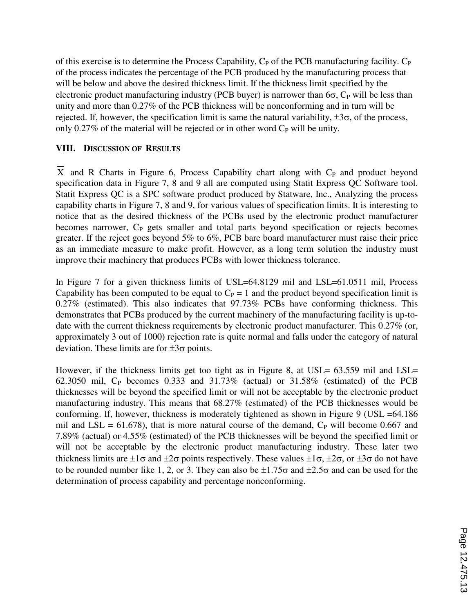of this exercise is to determine the Process Capability,  $C_P$  of the PCB manufacturing facility.  $C_P$ of the process indicates the percentage of the PCB produced by the manufacturing process that will be below and above the desired thickness limit. If the thickness limit specified by the electronic product manufacturing industry (PCB buyer) is narrower than  $6\sigma$ ,  $C_P$  will be less than unity and more than 0.27% of the PCB thickness will be nonconforming and in turn will be rejected. If, however, the specification limit is same the natural variability,  $\pm 3\sigma$ , of the process, only 0.27% of the material will be rejected or in other word  $C_P$  will be unity.

## **VIII. DISCUSSION OF RESULTS**

 $\overline{X}$  and R Charts in Figure 6, Process Capability chart along with C<sub>P</sub> and product beyond specification data in Figure 7, 8 and 9 all are computed using Statit Express QC Software tool. Statit Express QC is a SPC software product produced by Statware, Inc., Analyzing the process capability charts in Figure 7, 8 and 9, for various values of specification limits. It is interesting to notice that as the desired thickness of the PCBs used by the electronic product manufacturer becomes narrower,  $C_P$  gets smaller and total parts beyond specification or rejects becomes greater. If the reject goes beyond 5% to 6%, PCB bare board manufacturer must raise their price as an immediate measure to make profit. However, as a long term solution the industry must improve their machinery that produces PCBs with lower thickness tolerance.

In Figure 7 for a given thickness limits of USL=64.8129 mil and LSL=61.0511 mil, Process Capability has been computed to be equal to  $C_P = 1$  and the product beyond specification limit is 0.27% (estimated). This also indicates that 97.73% PCBs have conforming thickness. This demonstrates that PCBs produced by the current machinery of the manufacturing facility is up-todate with the current thickness requirements by electronic product manufacturer. This 0.27% (or, approximately 3 out of 1000) rejection rate is quite normal and falls under the category of natural deviation. These limits are for  $\pm 3\sigma$  points.

However, if the thickness limits get too tight as in Figure 8, at USL= 63.559 mil and LSL= 62.3050 mil,  $C_P$  becomes 0.333 and 31.73% (actual) or 31.58% (estimated) of the PCB thicknesses will be beyond the specified limit or will not be acceptable by the electronic product manufacturing industry. This means that 68.27% (estimated) of the PCB thicknesses would be conforming. If, however, thickness is moderately tightened as shown in Figure 9 (USL =64.186 mil and LSL =  $61.678$ ), that is more natural course of the demand,  $C_P$  will become 0.667 and 7.89% (actual) or 4.55% (estimated) of the PCB thicknesses will be beyond the specified limit or will not be acceptable by the electronic product manufacturing industry. These later two thickness limits are  $\pm 1\sigma$  and  $\pm 2\sigma$  points respectively. These values  $\pm 1\sigma$ ,  $\pm 2\sigma$ , or  $\pm 3\sigma$  do not have to be rounded number like 1, 2, or 3. They can also be  $\pm 1.75\sigma$  and  $\pm 2.5\sigma$  and can be used for the determination of process capability and percentage nonconforming.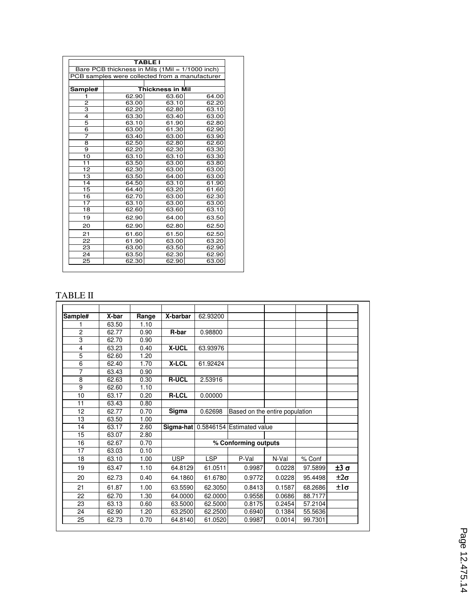|                                                 |                         | <b>TABLE I</b> |       |  |  |  |  |  |  |  |
|-------------------------------------------------|-------------------------|----------------|-------|--|--|--|--|--|--|--|
| Bare PCB thickness in Mils (1Mil = 1/1000 inch) |                         |                |       |  |  |  |  |  |  |  |
| PCB samples were collected from a manufacturer  |                         |                |       |  |  |  |  |  |  |  |
|                                                 |                         |                |       |  |  |  |  |  |  |  |
| Sample#                                         | <b>Thickness in Mil</b> |                |       |  |  |  |  |  |  |  |
| 1                                               | 62.90                   | 63.60          | 64.00 |  |  |  |  |  |  |  |
| 2                                               | 63.00                   | 63.10          | 62.20 |  |  |  |  |  |  |  |
| 3                                               | 62.20                   | 62.80          | 63.10 |  |  |  |  |  |  |  |
| 4                                               | 63.30                   | 63.40          | 63.00 |  |  |  |  |  |  |  |
| 5                                               | 63.10                   | 61.90          | 62.80 |  |  |  |  |  |  |  |
| 6                                               | 63.00                   | 61.30          | 62.90 |  |  |  |  |  |  |  |
| 7                                               | 63.40                   | 63.00          | 63.90 |  |  |  |  |  |  |  |
| 8                                               | 62.50                   | 62.80          | 62.60 |  |  |  |  |  |  |  |
| 9                                               | 62.20                   | 62.30          | 63.30 |  |  |  |  |  |  |  |
| 10                                              | 63.10                   | 63.10          | 63.30 |  |  |  |  |  |  |  |
| 11                                              | 63.50                   | 63.00          | 63.80 |  |  |  |  |  |  |  |
| 12                                              | 62.30                   | 63.00          | 63.00 |  |  |  |  |  |  |  |
| 13                                              | 63.50                   | 64.00          | 63.00 |  |  |  |  |  |  |  |
| 14                                              | 64.50                   | 63.10          | 61.90 |  |  |  |  |  |  |  |
| 15                                              | 64.40                   | 63.20          | 61.60 |  |  |  |  |  |  |  |
| 16                                              | 62.70                   | 63.00          | 62.30 |  |  |  |  |  |  |  |
| 17                                              | 63.10                   | 63.00          | 63.00 |  |  |  |  |  |  |  |
| 18                                              | 62.60                   | 63.60          | 63.10 |  |  |  |  |  |  |  |
| 19                                              | 62.90                   | 64.00          | 63.50 |  |  |  |  |  |  |  |
| 20                                              | 62.90                   | 62.80          | 62.50 |  |  |  |  |  |  |  |
| 21                                              | 61.60                   | 61.50          | 62.50 |  |  |  |  |  |  |  |
| 22                                              | 61.90                   | 63.00          | 63.20 |  |  |  |  |  |  |  |
| 23                                              | 63.00                   | 63.50          | 62.90 |  |  |  |  |  |  |  |
| 24                                              | 63.50                   | 62.30          | 62.90 |  |  |  |  |  |  |  |
| 25                                              | 62.30                   | 62.90          | 63.00 |  |  |  |  |  |  |  |

# TABLE II

| Sample# | X-bar | Range | X-barbar     | 62.93200   |                                     |        |         |               |
|---------|-------|-------|--------------|------------|-------------------------------------|--------|---------|---------------|
|         | 63.50 | 1.10  |              |            |                                     |        |         |               |
| 2       | 62.77 | 0.90  | R-bar        | 0.98800    |                                     |        |         |               |
| 3       | 62.70 | 0.90  |              |            |                                     |        |         |               |
| 4       | 63.23 | 0.40  | <b>X-UCL</b> | 63.93976   |                                     |        |         |               |
| 5       | 62.60 | 1.20  |              |            |                                     |        |         |               |
| 6       | 62.40 | 1.70  | X-LCL        | 61.92424   |                                     |        |         |               |
| 7       | 63.43 | 0.90  |              |            |                                     |        |         |               |
| 8       | 62.63 | 0.30  | <b>R-UCL</b> | 2.53916    |                                     |        |         |               |
| 9       | 62.60 | 1.10  |              |            |                                     |        |         |               |
| 10      | 63.17 | 0.20  | <b>R-LCL</b> | 0.00000    |                                     |        |         |               |
| 11      | 63.43 | 0.80  |              |            |                                     |        |         |               |
| 12      | 62.77 | 0.70  | Sigma        | 0.62698    | Based on the entire population      |        |         |               |
| 13      | 63.50 | 1.00  |              |            |                                     |        |         |               |
| 14      | 63.17 | 2.60  |              |            | Sigma-hat 0.5846154 Estimated value |        |         |               |
| 15      | 63.07 | 2.80  |              |            |                                     |        |         |               |
| 16      | 62.67 | 0.70  |              |            | % Conforming outputs                |        |         |               |
| 17      | 63.03 | 0.10  |              |            |                                     |        |         |               |
| 18      | 63.10 | 1.00  | <b>USP</b>   | <b>LSP</b> | P-Val                               | N-Val  | % Conf  |               |
| 19      | 63.47 | 1.10  | 64.8129      | 61.0511    | 0.9987                              | 0.0228 | 97.5899 | $±3$ σ        |
| 20      | 62.73 | 0.40  | 64.1860      | 61.6780    | 0.9772                              | 0.0228 | 95.4498 | $\pm 2\sigma$ |
| 21      | 61.87 | 1.00  | 63.5590      | 62.3050    | 0.8413                              | 0.1587 | 68.2686 | $\pm 1\sigma$ |
| 22      | 62.70 | 1.30  | 64.0000      | 62.0000    | 0.9558                              | 0.0686 | 88.7177 |               |
| 23      | 63.13 | 0.60  | 63.5000      | 62.5000    | 0.8175                              | 0.2454 | 57.2104 |               |
| 24      | 62.90 | 1.20  | 63.2500      | 62.2500    | 0.6940                              | 0.1384 | 55.5636 |               |
| 25      | 62.73 | 0.70  | 64.8140      | 61.0520    | 0.9987                              | 0.0014 | 99.7301 |               |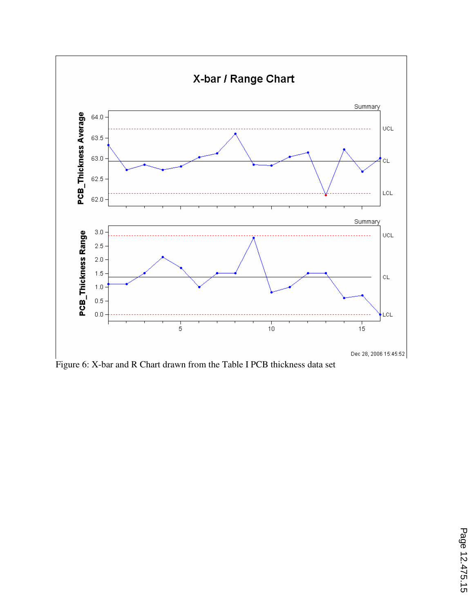

Figure 6: X-bar and R Chart drawn from the Table I PCB thickness data set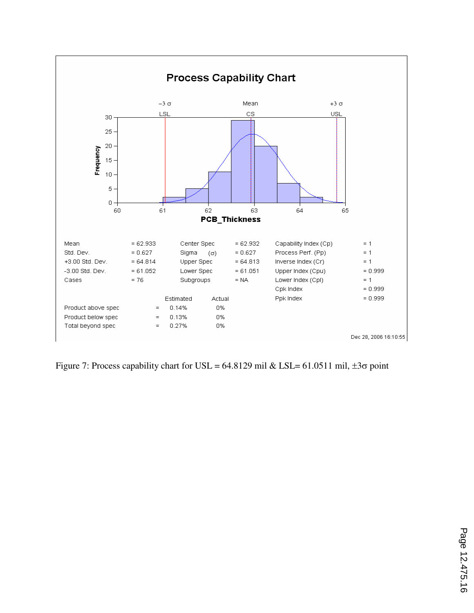

Figure 7: Process capability chart for USL = 64.8129 mil & LSL= 61.0511 mil,  $\pm 3\sigma$  point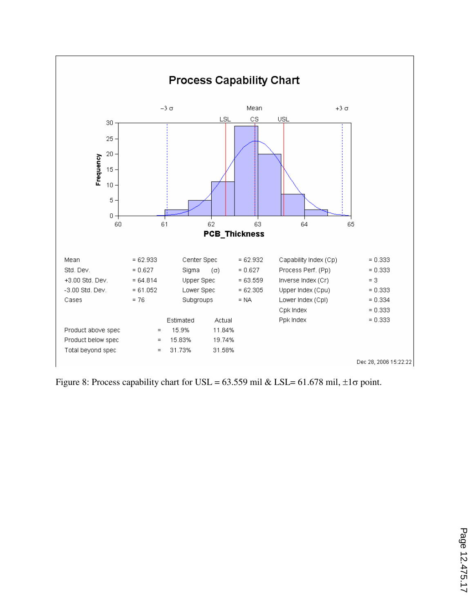

Figure 8: Process capability chart for USL = 63.559 mil & LSL= 61.678 mil,  $\pm 1\sigma$  point.